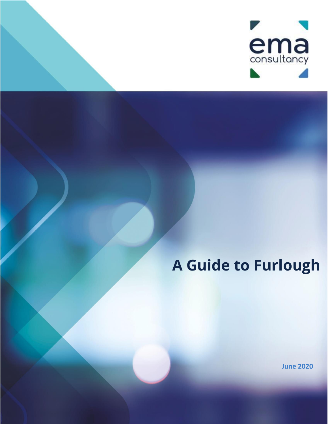

# **A Guide to Furlough**

**June 2020**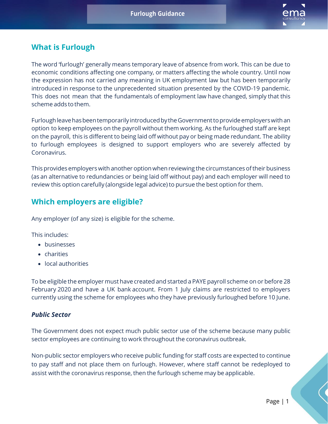

# **What is Furlough**

The word 'furlough' generally means temporary leave of absence from work. This can be due to economic conditions affecting one company, or matters affecting the whole country. Until now the expression has not carried any meaning in UK employment law but has been temporarily introduced in response to the unprecedented situation presented by the COVID-19 pandemic. This does not mean that the fundamentals of employment law have changed, simply that this scheme adds tothem.

Furlough leave has been temporarily introduced by the Government to provide employers with an option to keep employees on the payroll without them working. As the furloughed staff are kept on the payroll, this is different to being laid off without pay or being made redundant. The ability to furlough employees is designed to support employers who are severely affected by Coronavirus.

This provides employers with another option whenreviewing the circumstances oftheir business (as an alternative to redundancies or being laid off without pay) and each employer will need to review this option carefully (alongside legal advice) to pursue the best option for them.

# **Which employers are eligible?**

Any employer (of any size) is eligible for the scheme.

This includes:

- businesses
- charities
- local authorities

To be eligible the employer must have created and started a PAYE payroll scheme on or before 28 February 2020 and have a UK bank account. From 1 July claims are restricted to employers currently using the scheme for employees who they have previously furloughed before 10 June.

## *Public Sector*

The Government does not expect much public sector use of the scheme because many public sector employees are continuing to work throughout the coronavirus outbreak.

Non-public sector employers who receive public funding for staff costs are expected to continue to pay staff and not place them on furlough. However, where staff cannot be redeployed to assist with the coronavirus response, then the furlough scheme may be applicable.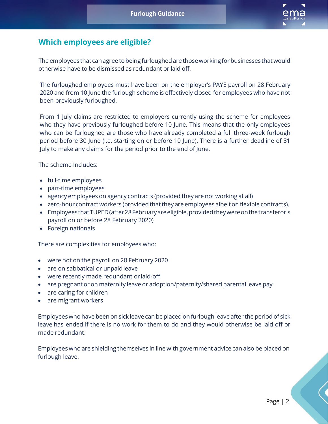

# **Which employees are eligible?**

The employees that can agree to being furloughed are those working for businesses that would otherwise have to be dismissed as redundant or laid off.

The furloughed employees must have been on the employer's PAYE payroll on 28 February 2020 and from 10 June the furlough scheme is effectively closed for employees who have not been previously furloughed.

From 1 July claims are restricted to employers currently using the scheme for employees who they have previously furloughed before 10 June. This means that the only employees who can be furloughed are those who have already completed a full three-week furlough period before 30 June (i.e. starting on or before 10 June). There is a further deadline of 31 July to make any claims for the period prior to the end of June.

The scheme Includes:

- full-time employees
- part-time employees
- agency employees on agency contracts (provided they are not working at all)
- zero-hour contract workers (provided that they are employees albeit on flexible contracts).
- Employees that TUPED (after 28 February are eligible, provided they were on the transferor's payroll on or before 28 February 2020)
- Foreign nationals

There are complexities for employees who:

- were not on the payroll on 28 February 2020
- are on sabbatical or unpaid leave
- were recently made redundant or laid-off
- are pregnant or on maternity leave or adoption/paternity/shared parental leave pay
- are caring for children
- are migrant workers

Employeeswho have been on sick leave can be placed on furlough leave after the period of sick leave has ended if there is no work for them to do and they would otherwise be laid off or made redundant.

Employees who are shielding themselves in line with government advice can also be placed on furlough leave.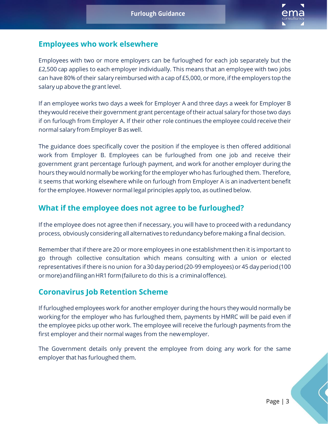

## **Employees who work elsewhere**

Employees with two or more employers can be furloughed for each job separately but the £2,500 cap applies to each employer individually. This means that an employee with two jobs can have 80% of their salary reimbursed with a cap of £5,000, or more, ifthe employers top the salary up above the grant level.

If an employee works two days a week for Employer A and three days a week for Employer B theywould receive their government grant percentage oftheir actual salary for those two days if on furlough from Employer A. If their other role continues the employee could receive their normal salary from Employer B as well.

The guidance does specifically cover the position if the employee is then offered additional work from Employer B. Employees can be furloughed from one job and receive their government grant percentage furlough payment, and work for another employer during the hours they would normally be working for the employer who has furloughed them. Therefore, it seems that working elsewhere while on furlough from Employer A is an inadvertent benefit for the employee. However normal legal principles apply too, as outlined below.

# **What if the employee does not agree to be furloughed?**

If the employee does not agree then if necessary, you will have to proceed with a redundancy process, obviously considering all alternatives to redundancy before making a final decision.

Remember that if there are 20 or more employees in one establishment then it is important to go through collective consultation which means consulting with a union or elected representatives ifthere is no union for a30 dayperiod(20-99 employees) or 45 dayperiod(100 ormore)andfilinganHR1form(failureto do this is a criminaloffence).

# **Coronavirus Job Retention Scheme**

If furloughed employees work for another employer during the hours they would normally be working for the employer who has furloughed them, payments by HMRC will be paid even if the employee picks up other work. The employee will receive the furlough payments from the first employer and their normal wages from the newemployer.

The Government details only prevent the employee from doing any work for the same employer that has furloughed them.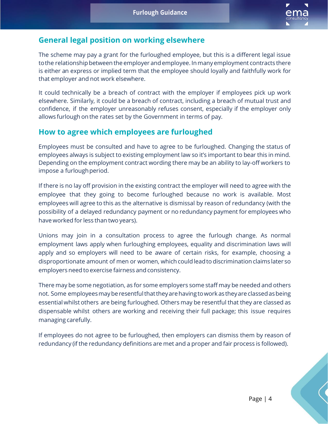

# **General legal position on working elsewhere**

The scheme may pay a grant for the furloughed employee, but this is a different legal issue to the relationship between the employer and employee. In many employment contracts there is either an express or implied term that the employee should loyally and faithfully work for that employer and not work elsewhere.

It could technically be a breach of contract with the employer if employees pick up work elsewhere. Similarly, it could be a breach of contract, including a breach of mutual trust and confidence, if the employer unreasonably refuses consent, especially if the employer only allows furlough on the rates set by the Government in terms of pay.

# **How to agree which employees are furloughed**

Employees must be consulted and have to agree to be furloughed. Changing the status of employees always is subject to existing employment law so it's important to bear this in mind. Depending on the employment contract wording there may be an ability to lay-off workers to impose a furlough period.

If there is no lay off provision in the existing contract the employer will need to agree with the employee that they going to become furloughed because no work is available. Most employees will agree to this as the alternative is dismissal by reason of redundancy (with the possibility of a delayed redundancy payment or no redundancy payment for employees who have worked for less than two years).

Unions may join in a consultation process to agree the furlough change. As normal employment laws apply when furloughing employees, equality and discrimination laws will apply and so employers will need to be aware of certain risks, for example, choosing a disproportionate amount of men or women, which could lead to discrimination claims later so employers need to exercise fairness and consistency.

There may be some negotiation, as for some employers some staff may be needed and others not. Some employeesmayberesentfulthattheyarehavingtowork as theyare classedasbeing essential whilst others are being furloughed. Others may be resentful that they are classed as dispensable whilst others are working and receiving their full package; this issue requires managing carefully.

If employees do not agree to be furloughed, then employers can dismiss them by reason of redundancy (if the redundancy definitions are met and a proper and fair process is followed).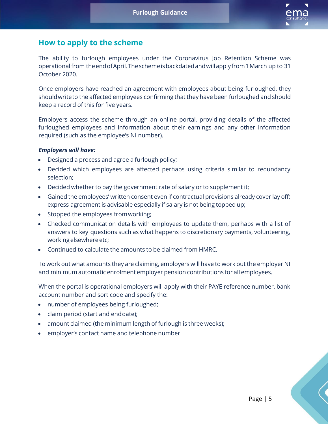

## **How to apply to the scheme**

The ability to furlough employees under the Coronavirus Job Retention Scheme was operationalfrom theendofApril.Theschemeisbackdatedandwillapplyfrom1March up to 31 October 2020.

Once employers have reached an agreement with employees about being furloughed, they shouldwriteto the affected employees confirming that they have been furloughed and should keep a record of this for five years.

Employers access the scheme through an online portal, providing details of the affected furloughed employees and information about their earnings and any other information required (such as the employee's NI number).

#### *Employers will have:*

- Designed a process and agree a furlough policy;
- Decided which employees are affected perhaps using criteria similar to redundancy selection;
- Decided whether to pay the government rate of salary or to supplement it;
- Gained the employees' written consent even if contractual provisions already cover lay off; express agreement is advisable especially if salary is not being topped up;
- Stopped the employees fromworking;
- Checked communication details with employees to update them, perhaps with a list of answers to key questions such as what happens to discretionary payments, volunteering, working elsewhere etc;
- Continued to calculate the amounts to be claimed from HMRC.

To work out what amounts they are claiming, employers will have to work out the employer NI and minimum automatic enrolment employer pension contributions for all employees.

When the portal is operational employers will apply with their PAYE reference number, bank account number and sort code and specify the:

- number of employees being furloughed;
- claim period (start and enddate);
- amount claimed (the minimum length of furlough is three weeks);
- employer's contact name and telephone number.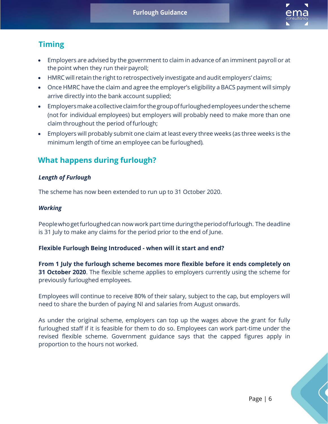

# **Timing**

- Employers are advised by the government to claim in advance of an imminent payroll or at the point when they run their payroll;
- HMRC will retain the right to retrospectively investigate and audit employers' claims;
- Once HMRC have the claim and agree the employer's eligibility a BACS payment will simply arrive directly into the bank account supplied;
- Employers make a collective claim for the group of furloughed employees under the scheme (not for individual employees) but employers will probably need to make more than one claim throughout the period offurlough;
- Employers will probably submit one claim at least every three weeks (as three weeks is the minimum length of time an employee can be furloughed).

# **What happens during furlough?**

## *Length of Furlough*

The scheme has now been extended to run up to 31 October 2020.

## *Working*

Peoplewhogetfurloughedcan now work part time duringtheperiodoffurlough. The deadline is 31 July to make any claims for the period prior to the end of June.

## **Flexible Furlough Being Introduced - when will it start and end?**

**From 1 July the furlough scheme becomes more flexible before it ends completely on 31 October 2020**. The flexible scheme applies to employers currently using the scheme for previously furloughed employees.

Employees will continue to receive 80% of their salary, subject to the cap, but employers will need to share the burden of paying NI and salaries from August onwards.

As under the original scheme, employers can top up the wages above the grant for fully furloughed staff if it is feasible for them to do so. Employees can work part-time under the revised flexible scheme. Government guidance says that the capped figures apply in proportion to the hours not worked.

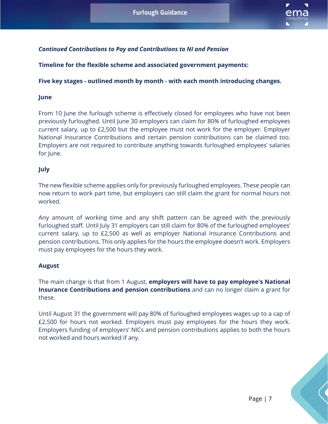

## *Continued Contributions to Pay and Contributions to NI and Pension*

**Timeline for the flexible scheme and associated government payments:**

### **Five key stages - outlined month by month - with each month introducing changes.**

#### **June**

From 10 June the furlough scheme is effectively closed for employees who have not been previously furloughed. Until June 30 employers can claim for 80% of furloughed employees current salary, up to £2,500 but the employee must not work for the employer. Employer National Insurance Contributions and certain pension contributions can be claimed too. Employers are not required to contribute anything towards furloughed employees' salaries for lune.

## **July**

The new flexible scheme applies only for previously furloughed employees. These people can now return to work part time, but employers can still claim the grant for normal hours not worked.

Any amount of working time and any shift pattern can be agreed with the previously furloughed staff. Until July 31 employers can still claim for 80% of the furloughed employees' current salary, up to £2,500 as well as employer National Insurance Contributions and pension contributions. This only applies for the hours the employee doesn't work. Employers must pay employees for the hours they work.

## **August**

The main change is that from 1 August, **employers will have to pay employee's National Insurance Contributions and pension contributions** and can no longer claim a grant for these.

Until August 31 the government will pay 80% of furloughed employees wages up to a cap of £2,500 for hours not worked. Employers must pay employees for the hours they work. Employers funding of employers' NICs and pension contributions applies to both the hours not worked and hours worked if any.



Page | 7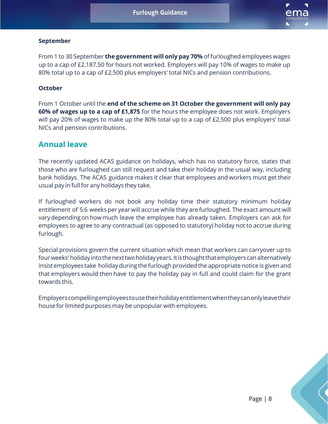

## **September**

From 1 to 30 September **the government will only pay 70%** of furloughed employees wages up to a cap of £2,187.50 for hours not worked. Employers will pay 10% of wages to make up 80% total up to a cap of £2,500 plus employers' total NICs and pension contributions.

### **October**

From 1 October until the **end of the scheme on 31 October the government will only pay 60% of wages up to a cap of £1,875** for the hours the employee does not work. Employers will pay 20% of wages to make up the 80% total up to a cap of £2,500 plus employers' total NICs and pension contributions.

## **Annual leave**

The recently updated ACAS guidance on holidays, which has no statutory force, states that those who are furloughed can still request and take their holiday in the usual way, including bank holidays. The ACAS guidance makes it clear that employees and workers must get their usual pay in full for any holidays they take.

If furloughed workers do not book any holiday time their statutory minimum holiday entitlement of 5.6 weeks per year will accrue while they are furloughed. The exact amount will vary depending on how much leave the employee has already taken. Employers can ask for employees to agree to any contractual (as opposed to statutory) holiday not to accrue during furlough.

Special provisions govern the current situation which mean that workers can carryover up to four weeks' holiday into the next two holiday years. It is thought that employers can alternatively insist employees take holiday during the furlough provided the appropriate notice is given and that employers would then have to pay the holiday pay in full and could claim for the grant towards this.

Employerscompellingemployeestousetheirholidayentitlementwhentheycanonlyleavetheir housefor limited purposes may be unpopular with employees.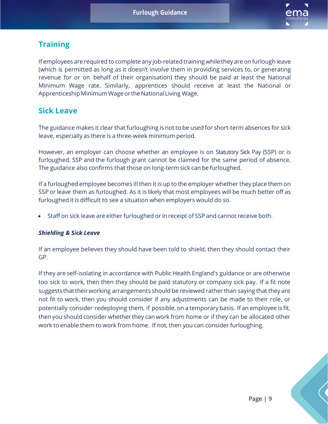

# **Training**

If employees are required to complete any job-related training while they are on furlough leave (which is permitted as long as it doesn't involve them in providing services to, or generating revenue for or on behalf of their organisation) they should be paid at least the National Minimum Wage rate. Similarly, apprentices should receive at least the National or Apprenticeship Minimum Wage or the National Living Wage.

# **Sick Leave**

The guidance makes it clear that furloughing is not to be used for short-term absences for sick leave, especially as there is a three-week minimum period.

However, an employer can choose whether an employee is on Statutory Sick Pay (SSP) or is furloughed. SSP and the furlough grant cannot be claimed for the same period of absence. The guidance also confirms that those on long-term sick can be furloughed.

If a furloughed employee becomes ill then it is up to the employer whether they place them on SSP or leave them as furloughed. As it is likely that most employees will be much better off as furloughed it is difficult to see a situation when employers would do so.

• Staff on sick leave are either furloughed or in receipt of SSP and cannot receive both.

## *Shielding & Sick Leave*

If an employee believes they should have been told to shield, then they should contact their GP.

If they are self-isolating in accordance with Public Health England's guidance or are otherwise too sick to work, then then they should be paid statutory or company sick pay. If a fit note suggests thattheirworking arrangements should be reviewed rather than saying that they are not fit to work, then you should consider if any adjustments can be made to their role, or potentially consider redeploying them, if possible, on a temporary basis. If an employee is fit, then you should consider whether they can work from home or if they can be allocated other work to enable them to work from home. If not, then you can consider furloughing.

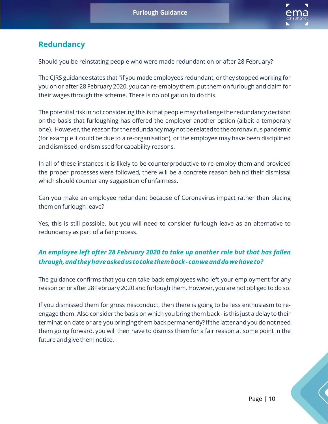

# **Redundancy**

Should you be reinstating people who were made redundant on or after 28 February?

The CJRS guidance states that "if you made employees redundant, or they stopped working for you on or after 28 February 2020, you can re-employ them, put them on furlough and claim for their wages through the scheme. There is no obligation to do this.

The potential risk in not considering this is that people may challenge the redundancy decision on the basis that furloughing has offered the employer another option (albeit a temporary one). However, the reason for the redundancy may not be related to the coronavirus pandemic (for example it could be due to a re-organisation), or the employee may have been disciplined and dismissed, or dismissed for capability reasons.

In all of these instances it is likely to be counterproductive to re-employ them and provided the proper processes were followed, there will be a concrete reason behind their dismissal which should counter any suggestion of unfairness.

Can you make an employee redundant because of Coronavirus impact rather than placing them on furlough leave?

Yes, this is still possible, but you will need to consider furlough leave as an alternative to redundancy as part of a fair process.

## *An employee left after 28 February 2020 to take up another role but that has fallen through,andtheyhaveaskedustotakethemback-canweanddowehaveto?*

The guidance confirms that you can take back employees who left your employment for any reason on or after 28 February 2020 and furlough them. However, you are not obliged to do so.

If you dismissed them for gross misconduct, then there is going to be less enthusiasm to reengage them. Also consider the basis on which you bring them back - is this just a delay to their termination date or are you bringing them back permanently? If the latter and you do not need them going forward, you will then have to dismiss them for a fair reason at some point in the future and give them notice.